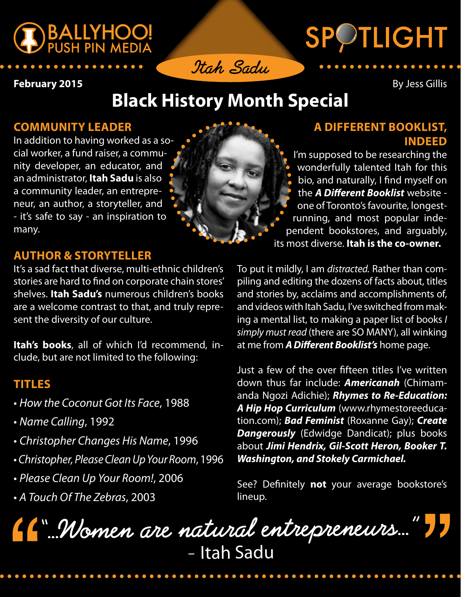



# SPOTLIGHT

**February 2015** By Jess Gillis

## **Black History Month Special**

#### **COMMUNITY LEADER**

In addition to having worked as a social worker, a fund raiser, a community developer, an educator, and an administrator, **Itah Sadu** is also a community leader, an entrepreneur, an author, a storyteller, and - it's safe to say - an inspiration to many.

#### **A DIFFERENT BOOKLIST, INDEED**

I'm supposed to be researching the wonderfully talented Itah for this bio, and naturally, I fnd myself on the *A Di***f***erent Booklist* website one of Toronto's favourite, longestrunning, and most popular independent bookstores, and arguably, its most diverse. **Itah is the co-owner.** 

### **AUTHOR & STORYTELLER**

It's a sad fact that diverse, multi-ethnic children's stories are hard to fnd on corporate chain stores' shelves. **Itah Sadu's** numerous children's books are a welcome contrast to that, and truly represent the diversity of our culture.

**Itah's books**, all of which I'd recommend, include, but are not limited to the following:

#### **TITLES**

- t*How the Coconut Got Its Face*, 1988
- t*Name Calling*, 1992
- t*Christopher Changes His Name*, 1996
- t*Christopher, Please Clean Up Your Room*, 1996
- t*Please Clean Up Your Room!*, 2006
- t*A Touch Of The Zebras*, 2003

To put it mildly, I am *distracted.* Rather than compiling and editing the dozens of facts about, titles and stories by, acclaims and accomplishments of, and videos with Itah Sadu, I've switched from making a mental list, to making a paper list of books *I simply must read* (there are SO MANY), all winking at me from *A Di***f***erent Booklist's* home page.

Just a few of the over ffteen titles I've written down thus far include: *Americanah* (Chimamanda Ngozi Adichie); *Rhymes to Re-Education: A Hip Hop Curriculum* ([www.rhymestoreeduca](www.rhymestoreeducation.com)[tion.com\)](www.rhymestoreeducation.com); *Bad Feminist* (Roxanne Gay); *Create Dangerously* (Edwidge Dandicat); plus books about *Jimi Hendrix, Gil-Scott Heron, Booker T. Washington, and Stokely Carmichael.*

See? Defnitely **not** your average bookstore's lineup.

**"…Women are natural entrepreneurs…"** – Itah Sadu